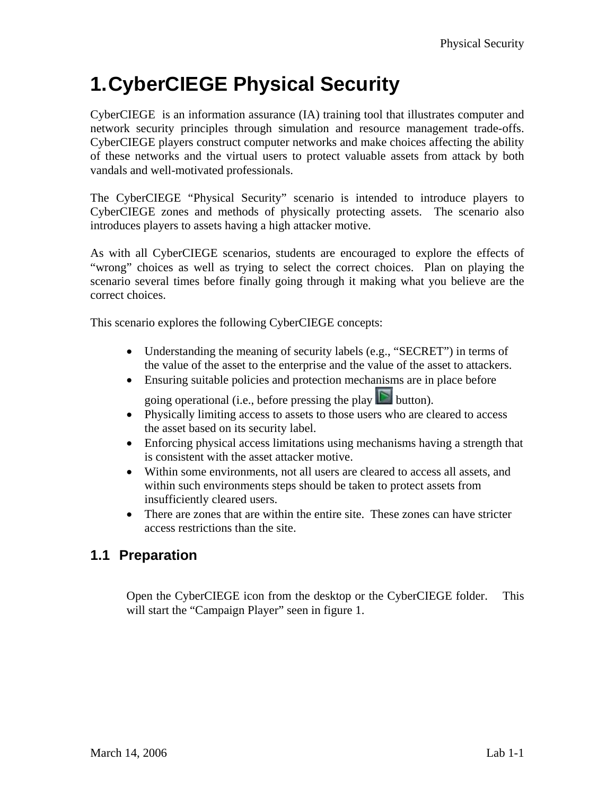# **1. CyberCIEGE Physical Security**

CyberCIEGE is an information assurance (IA) training tool that illustrates computer and network security principles through simulation and resource management trade-offs. CyberCIEGE players construct computer networks and make choices affecting the ability of these networks and the virtual users to protect valuable assets from attack by both vandals and well-motivated professionals.

The CyberCIEGE "Physical Security" scenario is intended to introduce players to CyberCIEGE zones and methods of physically protecting assets. The scenario also introduces players to assets having a high attacker motive.

As with all CyberCIEGE scenarios, students are encouraged to explore the effects of "wrong" choices as well as trying to select the correct choices. Plan on playing the scenario several times before finally going through it making what you believe are the correct choices.

This scenario explores the following CyberCIEGE concepts:

- Understanding the meaning of security labels (e.g., "SECRET") in terms of the value of the asset to the enterprise and the value of the asset to attackers.
- Ensuring suitable policies and protection mechanisms are in place before

going operational (i.e., before pressing the play  $\Box$  button).

- Physically limiting access to assets to those users who are cleared to access the asset based on its security label.
- Enforcing physical access limitations using mechanisms having a strength that is consistent with the asset attacker motive.
- Within some environments, not all users are cleared to access all assets, and within such environments steps should be taken to protect assets from insufficiently cleared users.
- There are zones that are within the entire site. These zones can have stricter access restrictions than the site.

### **1.1 Preparation**

Open the CyberCIEGE icon from the desktop or the CyberCIEGE folder. This will start the "Campaign Player" seen in figure 1.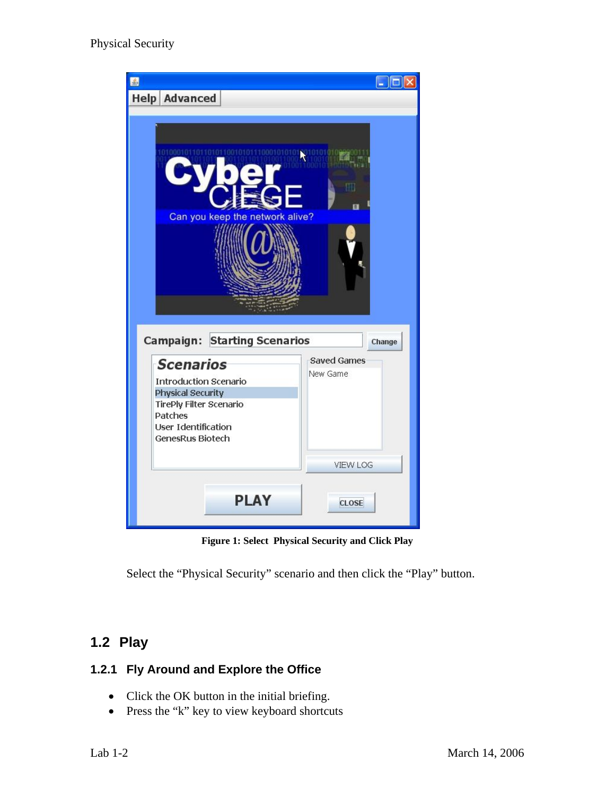

**Figure 1: Select Physical Security and Click Play** 

Select the "Physical Security" scenario and then click the "Play" button.

## **1.2 Play**

#### **1.2.1 Fly Around and Explore the Office**

- Click the OK button in the initial briefing.
- Press the "k" key to view keyboard shortcuts